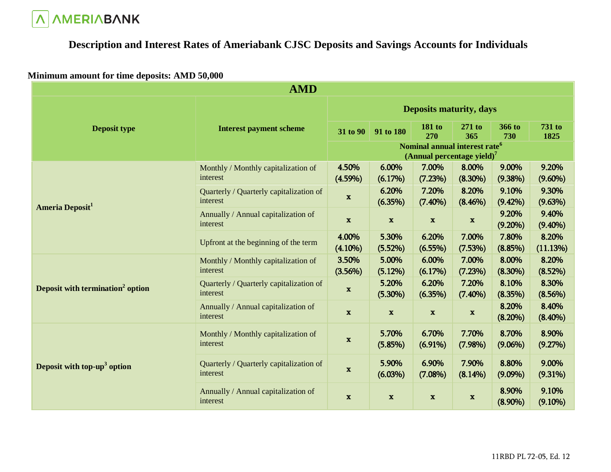

# **Description and Interest Rates of Ameriabank CJSC Deposits and Savings Accounts for Individuals**

### **Minimum amount for time deposits: AMD 50,000**

|                                              | <b>AMD</b>                                          |                                                                            |                     |                      |                     |                     |                     |
|----------------------------------------------|-----------------------------------------------------|----------------------------------------------------------------------------|---------------------|----------------------|---------------------|---------------------|---------------------|
|                                              |                                                     | <b>Deposits maturity, days</b>                                             |                     |                      |                     |                     |                     |
| <b>Deposit type</b>                          | <b>Interest payment scheme</b>                      | 31 to 90                                                                   | 91 to 180           | 181 to<br><b>270</b> | $271$ to<br>365     | 366 to<br>730       | 731 to<br>1825      |
|                                              |                                                     | Nominal annual interest rate <sup>6</sup><br>(Annual percentage yield) $7$ |                     |                      |                     |                     |                     |
|                                              | Monthly / Monthly capitalization of<br>interest     | 4.50%<br>$(4.59\%)$                                                        | 6.00%<br>(6.17%)    | 7.00%<br>(7.23%)     | 8.00%<br>$(8.30\%)$ | 9.00%<br>(9.38%)    | 9.20%<br>$(9.60\%)$ |
| <b>Ameria Deposit<sup>1</sup></b>            | Quarterly / Quarterly capitalization of<br>interest | $\mathbf x$                                                                | 6.20%<br>(6.35%)    | 7.20%<br>$(7.40\%)$  | 8.20%<br>(8.46%)    | 9.10%<br>$(9.42\%)$ | 9.30%<br>(9.63%)    |
|                                              | Annually / Annual capitalization of<br>interest     | $\mathbf{x}$                                                               | $\mathbf{x}$        | $\mathbf x$          | $\mathbf{x}$        | 9.20%<br>$(9.20\%)$ | 9.40%<br>$(9.40\%)$ |
|                                              | Upfront at the beginning of the term                | 4.00%<br>$(4.10\%)$                                                        | 5.30%<br>(5.52%)    | 6.20%<br>$(6.55\%)$  | 7.00%<br>(7.53%)    | 7.80%<br>(8.85%)    | 8.20%<br>(11.13%)   |
|                                              | Monthly / Monthly capitalization of<br>interest     | 3.50%<br>(3.56%)                                                           | 5.00%<br>(5.12%)    | 6.00%<br>(6.17%)     | 7.00%<br>(7.23%)    | 8.00%<br>$(8.30\%)$ | 8.20%<br>(8.52%)    |
| Deposit with termination <sup>2</sup> option | Quarterly / Quarterly capitalization of<br>interest | $\mathbf x$                                                                | 5.20%<br>$(5.30\%)$ | 6.20%<br>(6.35%)     | 7.20%<br>$(7.40\%)$ | 8.10%<br>(8.35%)    | 8.30%<br>(8.56%)    |
|                                              | Annually / Annual capitalization of<br>interest     | $\mathbf{x}$                                                               | $\mathbf{x}$        | $\mathbf{x}$         | $\mathbf x$         | 8.20%<br>(8.20%)    | 8.40%<br>$(8.40\%)$ |
| Deposit with top-up <sup>3</sup> option      | Monthly / Monthly capitalization of<br>interest     | $\mathbf x$                                                                | 5.70%<br>(5.85%)    | 6.70%<br>$(6.91\%)$  | 7.70%<br>(7.98%)    | 8.70%<br>$(9.06\%)$ | 8.90%<br>(9.27%)    |
|                                              | Quarterly / Quarterly capitalization of<br>interest | $\mathbf x$                                                                | 5.90%<br>$(6.03\%)$ | 6.90%<br>$(7.08\%)$  | 7.90%<br>$(8.14\%)$ | 8.80%<br>$(9.09\%)$ | 9.00%<br>$(9.31\%)$ |
|                                              | Annually / Annual capitalization of<br>interest     | $\mathbf x$                                                                | $\mathbf x$         | $\mathbf x$          | $\mathbf x$         | 8.90%<br>$(8.90\%)$ | 9.10%<br>$(9.10\%)$ |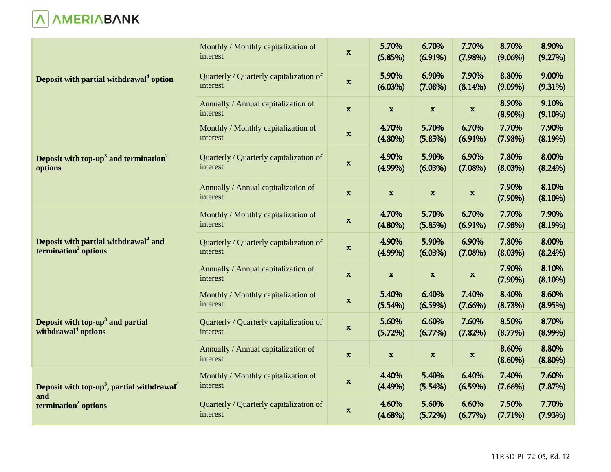

|                                                                                      | Monthly / Monthly capitalization of<br>interest     | $\mathbf x$  | 5.70%<br>(5.85%)          | 6.70%<br>$(6.91\%)$ | 7.70%<br>(7.98%)    | 8.70%<br>$(9.06\%)$ | 8.90%<br>(9.27%)    |
|--------------------------------------------------------------------------------------|-----------------------------------------------------|--------------|---------------------------|---------------------|---------------------|---------------------|---------------------|
| Deposit with partial withdrawal <sup>4</sup> option                                  | Quarterly / Quarterly capitalization of<br>interest | $\mathbf x$  | 5.90%<br>$(6.03\%)$       | 6.90%<br>(7.08%)    | 7.90%<br>(8.14%)    | 8.80%<br>$(9.09\%)$ | 9.00%<br>$(9.31\%)$ |
|                                                                                      | Annually / Annual capitalization of<br>interest     | $\mathbf x$  | $\mathbf{x}$              | $\mathbf x$         | $\mathbf x$         | 8.90%<br>$(8.90\%)$ | 9.10%<br>$(9.10\%)$ |
|                                                                                      | Monthly / Monthly capitalization of<br>interest     | $\mathbf x$  | 4.70%<br>$(4.80\%)$       | 5.70%<br>(5.85%)    | 6.70%<br>$(6.91\%)$ | 7.70%<br>(7.98%)    | 7.90%<br>(8.19%)    |
| Deposit with top-up <sup>3</sup> and termination <sup>2</sup><br>options             | Quarterly / Quarterly capitalization of<br>interest | $\mathbf x$  | 4.90%<br>$(4.99\%)$       | 5.90%<br>(6.03%)    | 6.90%<br>$(7.08\%)$ | 7.80%<br>(8.03%)    | 8.00%<br>$(8.24\%)$ |
|                                                                                      | Annually / Annual capitalization of<br>interest     | $\mathbf{x}$ | $\mathbf x$               | $\mathbf x$         | $\mathbf x$         | 7.90%<br>$(7.90\%)$ | 8.10%<br>$(8.10\%)$ |
|                                                                                      | Monthly / Monthly capitalization of<br>interest     | $\mathbf x$  | 4.70%<br>$(4.80\%)$       | 5.70%<br>(5.85%)    | 6.70%<br>$(6.91\%)$ | 7.70%<br>(7.98%)    | 7.90%<br>(8.19%)    |
| Deposit with partial withdrawal <sup>4</sup> and<br>termination <sup>2</sup> options | Quarterly / Quarterly capitalization of<br>interest | X            | 4.90%<br>$(4.99\%)$       | 5.90%<br>$(6.03\%)$ | 6.90%<br>$(7.08\%)$ | 7.80%<br>(8.03%)    | 8.00%<br>(8.24%)    |
|                                                                                      | Annually / Annual capitalization of<br>interest     | $\mathbf x$  | $\mathbf{x}$              | $\mathbf{x}$        | $\mathbf x$         | 7.90%<br>$(7.90\%)$ | 8.10%<br>$(8.10\%)$ |
|                                                                                      | Monthly / Monthly capitalization of<br>interest     | $\mathbf x$  | 5.40%<br>(5.54%)          | 6.40%<br>(6.59%)    | 7.40%<br>(7.66%)    | 8.40%<br>(8.73%)    | 8.60%<br>(8.95%)    |
| Deposit with top-up <sup>3</sup> and partial<br>withdrawal <sup>4</sup> options      | Quarterly / Quarterly capitalization of<br>interest | $\mathbf x$  | 5.60%<br>(5.72%)          | 6.60%<br>(6.77%)    | 7.60%<br>$(7.82\%)$ | 8.50%<br>(8.77%)    | 8.70%<br>$(8.99\%)$ |
|                                                                                      | Annually / Annual capitalization of<br>interest     | $\mathbf{x}$ | $\boldsymbol{\mathrm{x}}$ | $\mathbf x$         | $\mathbf x$         | 8.60%<br>$(8.60\%)$ | 8.80%<br>$(8.80\%)$ |
| Deposit with top-up <sup>3</sup> , partial withdrawal <sup>4</sup>                   | Monthly / Monthly capitalization of<br>interest     | $\mathbf x$  | 4.40%<br>$(4.49\%)$       | 5.40%<br>(5.54%)    | 6.40%<br>$(6.59\%)$ | 7.40%<br>(7.66%)    | 7.60%<br>(7.87%)    |
| and<br>termination <sup>2</sup> options                                              | Quarterly / Quarterly capitalization of<br>interest | $\mathbf{x}$ | 4.60%<br>$(4.68\%)$       | 5.60%<br>(5.72%)    | 6.60%<br>$(6.77\%)$ | 7.50%<br>(7.71%)    | 7.70%<br>(7.93%)    |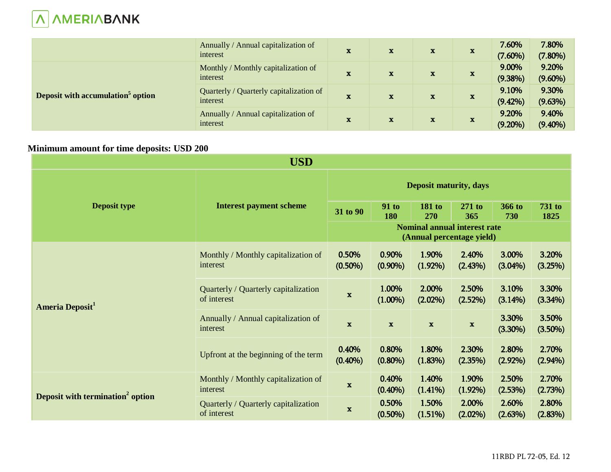

|                                               | Annually / Annual capitalization of<br>interest     | $\mathbf x$  | $\mathbf x$  | $\mathbf x$ | $\mathbf x$  | 7.60%<br>$(7.60\%)$ | 7.80%<br>$(7.80\%)$ |
|-----------------------------------------------|-----------------------------------------------------|--------------|--------------|-------------|--------------|---------------------|---------------------|
| Deposit with accumulation <sup>5</sup> option | Monthly / Monthly capitalization of<br>interest     | $\mathbf x$  | $\mathbf x$  | $\mathbf x$ | $\mathbf{x}$ | 9.00%<br>$(9.38\%)$ | 9.20%<br>$(9.60\%)$ |
|                                               | Quarterly / Quarterly capitalization of<br>interest | $\mathbf x$  | $\mathbf x$  | $\mathbf x$ | $\mathbf{x}$ | 9.10%<br>$(9.42\%)$ | 9.30%<br>(9.63%)    |
|                                               | Annually / Annual capitalization of<br>interest     | $\mathbf{x}$ | $\mathbf{x}$ | $\mathbf x$ | $\mathbf{x}$ | 9.20%<br>$(9.20\%)$ | 9.40%<br>$(9.40\%)$ |

## **Minimum amount for time deposits: USD 200**

|                                              | <b>USD</b>                                          |                               |                     |                                                                  |                     |                     |                       |
|----------------------------------------------|-----------------------------------------------------|-------------------------------|---------------------|------------------------------------------------------------------|---------------------|---------------------|-----------------------|
|                                              |                                                     | <b>Deposit maturity, days</b> |                     |                                                                  |                     |                     |                       |
| <b>Deposit type</b>                          | <b>Interest payment scheme</b>                      | 31 to 90                      | <b>91 to</b><br>180 | 181 to<br>270                                                    | $271$ to<br>365     | 366 to<br>730       | <b>731 to</b><br>1825 |
|                                              |                                                     |                               |                     | <b>Nominal annual interest rate</b><br>(Annual percentage yield) |                     |                     |                       |
| <b>Ameria Deposit</b>                        | Monthly / Monthly capitalization of<br>interest     | 0.50%<br>$(0.50\%)$           | 0.90%<br>$(0.90\%)$ | 1.90%<br>$(1.92\%)$                                              | 2.40%<br>(2.43%)    | 3.00%<br>$(3.04\%)$ | 3.20%<br>(3.25%)      |
|                                              | Quarterly / Quarterly capitalization<br>of interest | $\mathbf x$                   | 1.00%<br>$(1.00\%)$ | 2.00%<br>$(2.02\%)$                                              | 2.50%<br>(2.52%)    | 3.10%<br>$(3.14\%)$ | 3.30%<br>(3.34%)      |
|                                              | Annually / Annual capitalization of<br>interest     | $\mathbf x$                   | $\mathbf x$         | $\mathbf x$                                                      | $\mathbf x$         | 3.30%<br>(3.30%)    | 3.50%<br>$(3.50\%)$   |
|                                              | Upfront at the beginning of the term                | 0.40%<br>$(0.40\%)$           | 0.80%<br>$(0.80\%)$ | 1.80%<br>$(1.83\%)$                                              | 2.30%<br>(2.35%)    | 2.80%<br>$(2.92\%)$ | 2.70%<br>$(2.94\%)$   |
| Deposit with termination <sup>2</sup> option | Monthly / Monthly capitalization of<br>interest     | $\mathbf x$                   | 0.40%<br>$(0.40\%)$ | 1.40%<br>$(1.41\%)$                                              | 1.90%<br>$(1.92\%)$ | 2.50%<br>(2.53%)    | 2.70%<br>(2.73%)      |
|                                              | Quarterly / Quarterly capitalization<br>of interest | $\mathbf x$                   | 0.50%<br>$(0.50\%)$ | 1.50%<br>(1.51%)                                                 | 2.00%<br>$(2.02\%)$ | 2.60%<br>(2.63%)    | 2.80%<br>(2.83%)      |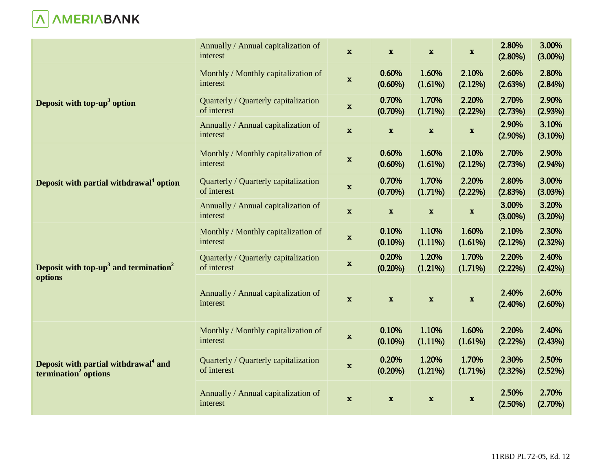

|                                                                                      | Annually / Annual capitalization of<br>interest     | $\mathbf x$  | $\mathbf x$         | $\mathbf{x}$        | $\mathbf x$               | 2.80%<br>$(2.80\%)$ | 3.00%<br>$(3.00\%)$ |
|--------------------------------------------------------------------------------------|-----------------------------------------------------|--------------|---------------------|---------------------|---------------------------|---------------------|---------------------|
|                                                                                      | Monthly / Monthly capitalization of<br>interest     | $\mathbf x$  | 0.60%<br>$(0.60\%)$ | 1.60%<br>(1.61%)    | 2.10%<br>(2.12%)          | 2.60%<br>(2.63%)    | 2.80%<br>(2.84%)    |
| Deposit with top-up <sup>3</sup> option                                              | Quarterly / Quarterly capitalization<br>of interest | $\mathbf x$  | 0.70%<br>$(0.70\%)$ | 1.70%<br>(1.71%)    | 2.20%<br>(2.22%)          | 2.70%<br>(2.73%)    | 2.90%<br>(2.93%)    |
|                                                                                      | Annually / Annual capitalization of<br>interest     | $\mathbf x$  | $\mathbf{x}$        | $\mathbf{x}$        | $\boldsymbol{\mathrm{x}}$ | 2.90%<br>$(2.90\%)$ | 3.10%<br>(3.10%)    |
|                                                                                      | Monthly / Monthly capitalization of<br>interest     | $\mathbf x$  | 0.60%<br>$(0.60\%)$ | 1.60%<br>(1.61%)    | 2.10%<br>(2.12%)          | 2.70%<br>(2.73%)    | 2.90%<br>$(2.94\%)$ |
| Deposit with partial withdrawal <sup>4</sup> option                                  | Quarterly / Quarterly capitalization<br>of interest | $\mathbf{x}$ | 0.70%<br>$(0.70\%)$ | 1.70%<br>(1.71%)    | 2.20%<br>(2.22%)          | 2.80%<br>(2.83%)    | 3.00%<br>(3.03%)    |
|                                                                                      | Annually / Annual capitalization of<br>interest     | $\mathbf x$  | $\mathbf x$         | $\mathbf x$         | $\boldsymbol{\mathrm{x}}$ | 3.00%<br>$(3.00\%)$ | 3.20%<br>(3.20%)    |
|                                                                                      | Monthly / Monthly capitalization of<br>interest     | $\mathbf x$  | 0.10%<br>$(0.10\%)$ | 1.10%<br>$(1.11\%)$ | 1.60%<br>(1.61%)          | 2.10%<br>(2.12%)    | 2.30%<br>(2.32%)    |
| Deposit with top- $up3$ and termination <sup>2</sup>                                 | Quarterly / Quarterly capitalization<br>of interest | $\mathbf x$  | 0.20%<br>$(0.20\%)$ | 1.20%<br>(1.21%)    | 1.70%<br>$(1.71\%)$       | 2.20%<br>(2.22%)    | 2.40%<br>(2.42%)    |
| options                                                                              | Annually / Annual capitalization of<br>interest     | $\mathbf x$  | $\mathbf x$         | $\mathbf x$         | $\mathbf x$               | 2.40%<br>$(2.40\%)$ | 2.60%<br>$(2.60\%)$ |
| Deposit with partial withdrawal <sup>4</sup> and<br>termination <sup>2</sup> options | Monthly / Monthly capitalization of<br>interest     | $\mathbf x$  | 0.10%<br>$(0.10\%)$ | 1.10%<br>$(1.11\%)$ | 1.60%<br>(1.61%)          | 2.20%<br>(2.22%)    | 2.40%<br>(2.43%)    |
|                                                                                      | Quarterly / Quarterly capitalization<br>of interest | $\mathbf X$  | 0.20%<br>$(0.20\%)$ | 1.20%<br>(1.21%)    | 1.70%<br>$(1.71\%)$       | 2.30%<br>(2.32%)    | 2.50%<br>(2.52%)    |
|                                                                                      | Annually / Annual capitalization of<br>interest     | $\mathbf x$  | $\mathbf X$         | $\mathbf x$         | $\boldsymbol{\mathrm{X}}$ | 2.50%<br>$(2.50\%)$ | 2.70%<br>(2.70%)    |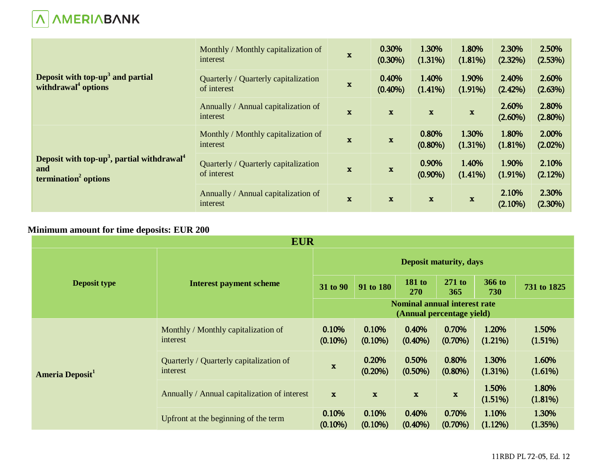

|                                                                                                               | Monthly / Monthly capitalization of<br>interest     | $\mathbf x$  | 0.30%<br>$(0.30\%)$ | 1.30%<br>(1.31%)    | 1.80%<br>$(1.81\%)$ | 2.30%<br>(2.32%)    | 2.50%<br>(2.53%)    |
|---------------------------------------------------------------------------------------------------------------|-----------------------------------------------------|--------------|---------------------|---------------------|---------------------|---------------------|---------------------|
| Deposit with top-up <sup>3</sup> and partial<br>withdrawal <sup>4</sup> options                               | Quarterly / Quarterly capitalization<br>of interest | $\mathbf x$  | 0.40%<br>$(0.40\%)$ | 1.40%<br>$(1.41\%)$ | 1.90%<br>$(1.91\%)$ | 2.40%<br>$(2.42\%)$ | 2.60%<br>(2.63%)    |
|                                                                                                               | Annually / Annual capitalization of<br>interest     | $\mathbf{x}$ | $\mathbf{x}$        | $\mathbf{x}$        | $\mathbf x$         | 2.60%<br>$(2.60\%)$ | 2.80%<br>$(2.80\%)$ |
| Deposit with top-up <sup>3</sup> , partial withdrawal <sup>4</sup><br>and<br>termination <sup>2</sup> options | Monthly / Monthly capitalization of<br>interest     | $\mathbf x$  | $\mathbf x$         | 0.80%<br>$(0.80\%)$ | 1.30%<br>$(1.31\%)$ | 1.80%<br>(1.81%)    | 2.00%<br>$(2.02\%)$ |
|                                                                                                               | Quarterly / Quarterly capitalization<br>of interest | $\mathbf x$  | $\mathbf x$         | 0.90%<br>$(0.90\%)$ | 1.40%<br>$(1.41\%)$ | 1.90%<br>$(1.91\%)$ | 2.10%<br>(2.12%)    |
|                                                                                                               | Annually / Annual capitalization of<br>interest     | $\mathbf x$  | $\mathbf x$         | $\mathbf{x}$        | $\mathbf x$         | 2.10%<br>$(2.10\%)$ | 2.30%<br>$(2.30\%)$ |

# **Minimum amount for time deposits: EUR 200**

| <b>EUR</b>                  |                                                     |                                                                  |                     |                      |                     |                     |                  |  |
|-----------------------------|-----------------------------------------------------|------------------------------------------------------------------|---------------------|----------------------|---------------------|---------------------|------------------|--|
|                             | <b>Interest payment scheme</b>                      | <b>Deposit maturity, days</b>                                    |                     |                      |                     |                     |                  |  |
| <b>Deposit type</b>         |                                                     | 31 to 90                                                         | 91 to 180           | <b>181 to</b><br>270 | $271$ to<br>365     | 366 to<br>730       | 731 to 1825      |  |
|                             |                                                     | <b>Nominal annual interest rate</b><br>(Annual percentage yield) |                     |                      |                     |                     |                  |  |
| Ameria Deposit <sup>1</sup> | Monthly / Monthly capitalization of<br>interest     | 0.10%<br>$(0.10\%)$                                              | 0.10%<br>$(0.10\%)$ | 0.40%<br>$(0.40\%)$  | 0.70%<br>$(0.70\%)$ | 1.20%<br>$(1.21\%)$ | 1.50%<br>(1.51%) |  |
|                             | Quarterly / Quarterly capitalization of<br>interest | $\mathbf x$                                                      | 0.20%<br>$(0.20\%)$ | 0.50%<br>$(0.50\%)$  | 0.80%<br>$(0.80\%)$ | 1.30%<br>(1.31%)    | 1.60%<br>(1.61%) |  |
|                             | Annually / Annual capitalization of interest        | $\mathbf{x}$                                                     | $\mathbf x$         | $\mathbf{x}$         | $\mathbf x$         | 1.50%<br>(1.51%)    | 1.80%<br>(1.81%) |  |
|                             | Upfront at the beginning of the term                | 0.10%<br>$(0.10\%)$                                              | 0.10%<br>$(0.10\%)$ | 0.40%<br>$(0.40\%)$  | 0.70%<br>$(0.70\%)$ | 1.10%<br>$(1.12\%)$ | 1.30%<br>(1.35%) |  |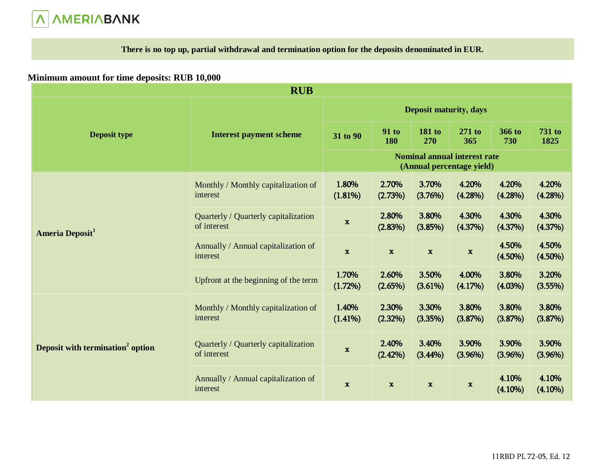# **A**<br> **A**<br> **A**<br> **A**<br> **A**<br> **A**

**There is no top up, partial withdrawal and termination option for the deposits denominated in EUR.** 

## **Minimum amount for time deposits: RUB 10,000**

| <b>RUB</b>                                   |                                                     |                               |                     |                      |                                                                  |                     |                     |
|----------------------------------------------|-----------------------------------------------------|-------------------------------|---------------------|----------------------|------------------------------------------------------------------|---------------------|---------------------|
|                                              |                                                     | <b>Deposit maturity, days</b> |                     |                      |                                                                  |                     |                     |
| <b>Deposit type</b>                          | <b>Interest payment scheme</b>                      | 31 to 90                      | <b>91 to</b><br>180 | <b>181 to</b><br>270 | 271 to<br>365                                                    | 366 to<br>730       | 731 to<br>1825      |
|                                              |                                                     |                               |                     |                      | <b>Nominal annual interest rate</b><br>(Annual percentage yield) |                     |                     |
| Ameria Deposit <sup>1</sup>                  | Monthly / Monthly capitalization of<br>interest     | 1.80%<br>(1.81%)              | 2.70%<br>(2.73%)    | 3.70%<br>(3.76%)     | 4.20%<br>(4.28%)                                                 | 4.20%<br>$(4.28\%)$ | 4.20%<br>(4.28%)    |
|                                              | Quarterly / Quarterly capitalization<br>of interest | $\mathbf{x}$                  | 2.80%<br>(2.83%)    | 3.80%<br>(3.85%)     | 4.30%<br>(4.37%)                                                 | 4.30%<br>(4.37%)    | 4.30%<br>(4.37%)    |
|                                              | Annually / Annual capitalization of<br>interest     | $\mathbf x$                   | $\mathbf x$         | $\mathbf x$          | $\mathbf x$                                                      | 4.50%<br>$(4.50\%)$ | 4.50%<br>$(4.50\%)$ |
|                                              | Upfront at the beginning of the term                | 1.70%<br>$(1.72\%)$           | 2.60%<br>(2.65%)    | 3.50%<br>(3.61%)     | 4.00%<br>(4.17%)                                                 | 3.80%<br>$(4.03\%)$ | 3.20%<br>(3.55%)    |
| Deposit with termination <sup>2</sup> option | Monthly / Monthly capitalization of<br>interest     | 1.40%<br>(1.41%)              | 2.30%<br>(2.32%)    | 3.30%<br>(3.35%)     | 3.80%<br>(3.87%)                                                 | 3.80%<br>(3.87%)    | 3.80%<br>(3.87%)    |
|                                              | Quarterly / Quarterly capitalization<br>of interest | $\mathbf{x}$                  | 2.40%<br>(2.42%)    | 3.40%<br>$(3.44\%)$  | 3.90%<br>(3.96%)                                                 | 3.90%<br>(3.96%)    | 3.90%<br>(3.96%)    |
|                                              | Annually / Annual capitalization of<br>interest     | $\mathbf{x}$                  | $\mathbf{x}$        | $\mathbf x$          | $\mathbf x$                                                      | 4.10%<br>$(4.10\%)$ | 4.10%<br>$(4.10\%)$ |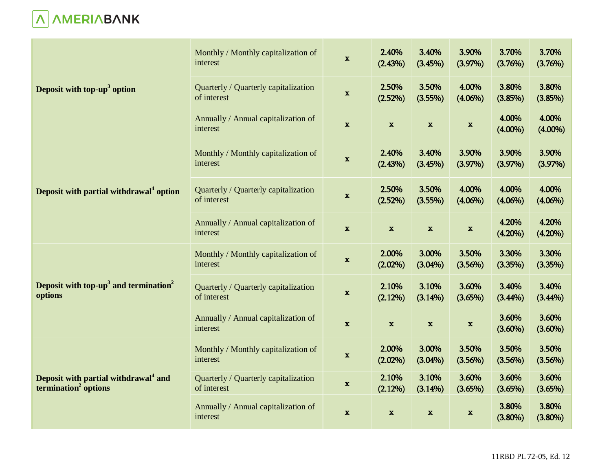

| Deposit with top- $up3$ option                                                       | Monthly / Monthly capitalization of<br>interest     | $\mathbf x$  | 2.40%<br>(2.43%)    | 3.40%<br>(3.45%)    | 3.90%<br>(3.97%)    | 3.70%<br>(3.76%)    | 3.70%<br>(3.76%)    |
|--------------------------------------------------------------------------------------|-----------------------------------------------------|--------------|---------------------|---------------------|---------------------|---------------------|---------------------|
|                                                                                      | Quarterly / Quarterly capitalization<br>of interest | $\mathbf{x}$ | 2.50%<br>(2.52%)    | 3.50%<br>(3.55%)    | 4.00%<br>$(4.06\%)$ | 3.80%<br>(3.85%)    | 3.80%<br>(3.85%)    |
|                                                                                      | Annually / Annual capitalization of<br>interest     | $\mathbf{x}$ | $\mathbf x$         | $\mathbf x$         | $\mathbf x$         | 4.00%<br>$(4.00\%)$ | 4.00%<br>$(4.00\%)$ |
| Deposit with partial withdrawal <sup>4</sup> option                                  | Monthly / Monthly capitalization of<br>interest     | $\mathbf x$  | 2.40%<br>(2.43%)    | 3.40%<br>(3.45%)    | 3.90%<br>(3.97%)    | 3.90%<br>(3.97%)    | 3.90%<br>(3.97%)    |
|                                                                                      | Quarterly / Quarterly capitalization<br>of interest | $\mathbf x$  | 2.50%<br>(2.52%)    | 3.50%<br>(3.55%)    | 4.00%<br>$(4.06\%)$ | 4.00%<br>$(4.06\%)$ | 4.00%<br>$(4.06\%)$ |
|                                                                                      | Annually / Annual capitalization of<br>interest     | $\mathbf x$  | $\mathbf x$         | $\mathbf x$         | $\mathbf x$         | 4.20%<br>$(4.20\%)$ | 4.20%<br>$(4.20\%)$ |
|                                                                                      | Monthly / Monthly capitalization of<br>interest     | $\mathbf x$  | 2.00%<br>$(2.02\%)$ | 3.00%<br>$(3.04\%)$ | 3.50%<br>(3.56%)    | 3.30%<br>(3.35%)    | 3.30%<br>(3.35%)    |
| Deposit with top-up <sup>3</sup> and termination <sup>2</sup><br>options             | Quarterly / Quarterly capitalization<br>of interest | $\mathbf x$  | 2.10%<br>(2.12%)    | 3.10%<br>(3.14%)    | 3.60%<br>(3.65%)    | 3.40%<br>$(3.44\%)$ | 3.40%<br>$(3.44\%)$ |
|                                                                                      | Annually / Annual capitalization of<br>interest     | $\mathbf x$  | $\mathbf x$         | $\mathbf x$         | $\mathbf x$         | 3.60%<br>$(3.60\%)$ | 3.60%<br>$(3.60\%)$ |
| Deposit with partial withdrawal <sup>4</sup> and<br>termination <sup>2</sup> options | Monthly / Monthly capitalization of<br>interest     | $\mathbf x$  | 2.00%<br>$(2.02\%)$ | 3.00%<br>$(3.04\%)$ | 3.50%<br>(3.56%)    | 3.50%<br>(3.56%)    | 3.50%<br>(3.56%)    |
|                                                                                      | Quarterly / Quarterly capitalization<br>of interest | $\mathbf x$  | 2.10%<br>(2.12%)    | 3.10%<br>(3.14%)    | 3.60%<br>(3.65%)    | 3.60%<br>(3.65%)    | 3.60%<br>(3.65%)    |
|                                                                                      | Annually / Annual capitalization of<br>interest     | $\mathbf x$  | $\mathbf x$         | $\mathbf x$         | $\mathbf x$         | 3.80%<br>$(3.80\%)$ | 3.80%<br>$(3.80\%)$ |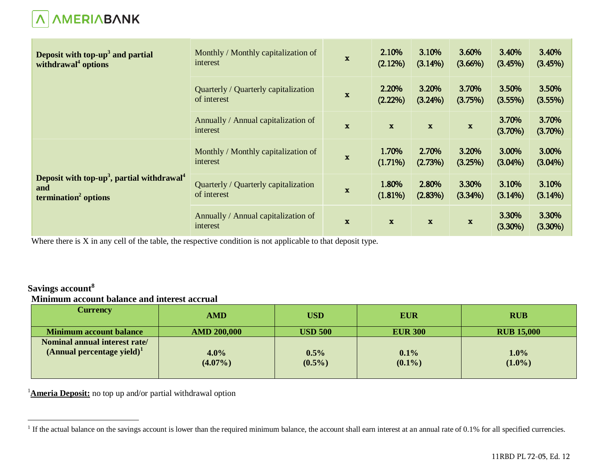

| Deposit with top-up <sup>3</sup> and partial<br>withdrawal <sup>4</sup> options                               | Monthly / Monthly capitalization of<br>interest     | $\mathbf{x}$ | 2.10%<br>(2.12%)    | 3.10%<br>$(3.14\%)$ | 3.60%<br>$(3.66\%)$ | 3.40%<br>(3.45%)    | 3.40%<br>(3.45%)    |
|---------------------------------------------------------------------------------------------------------------|-----------------------------------------------------|--------------|---------------------|---------------------|---------------------|---------------------|---------------------|
|                                                                                                               | Quarterly / Quarterly capitalization<br>of interest | $\mathbf x$  | 2.20%<br>$(2.22\%)$ | 3.20%<br>(3.24%)    | 3.70%<br>(3.75%)    | 3.50%<br>$(3.55\%)$ | 3.50%<br>(3.55%)    |
|                                                                                                               | Annually / Annual capitalization of<br>interest     | $\mathbf x$  | $\mathbf{x}$        | $\mathbf{x}$        | $\mathbf{x}$        | 3.70%<br>$(3.70\%)$ | 3.70%<br>$(3.70\%)$ |
| Deposit with top-up <sup>3</sup> , partial withdrawal <sup>4</sup><br>and<br>termination <sup>2</sup> options | Monthly / Monthly capitalization of<br>interest     | $\mathbf x$  | 1.70%<br>$(1.71\%)$ | 2.70%<br>(2.73%)    | 3.20%<br>(3.25%)    | 3.00%<br>$(3.04\%)$ | 3.00%<br>$(3.04\%)$ |
|                                                                                                               | Quarterly / Quarterly capitalization<br>of interest | $\mathbf x$  | 1.80%<br>(1.81%)    | 2.80%<br>(2.83%)    | 3.30%<br>$(3.34\%)$ | 3.10%<br>$(3.14\%)$ | 3.10%<br>(3.14%)    |
|                                                                                                               | Annually / Annual capitalization of<br>interest     | $\mathbf{x}$ | $\mathbf{x}$        | $\mathbf{x}$        | $\mathbf{x}$        | 3.30%<br>$(3.30\%)$ | 3.30%<br>$(3.30\%)$ |

Where there is X in any cell of the table, the respective condition is not applicable to that deposit type.

# **Savings account<sup>8</sup> Minimum account balance and interest accrual**

| Currency                                                             | <b>AMD</b>         | <b>USD</b>        | <b>EUR</b>        | <b>RUB</b>        |
|----------------------------------------------------------------------|--------------------|-------------------|-------------------|-------------------|
| <b>Minimum account balance</b>                                       | <b>AMD 200,000</b> | <b>USD 500</b>    | <b>EUR 300</b>    | <b>RUB 15,000</b> |
| Nominal annual interest rate/<br>$(A$ nnual percentage yield $)^{1}$ | 4.0%<br>$(4.07\%)$ | 0.5%<br>$(0.5\%)$ | 0.1%<br>$(0.1\%)$ | 1.0%<br>$(1.0\%)$ |

<sup>1</sup>**Ameria Deposit:** no top up and/or partial withdrawal option

<sup>&</sup>lt;sup>1</sup> If the actual balance on the savings account is lower than the required minimum balance, the account shall earn interest at an annual rate of 0.1% for all specified currencies.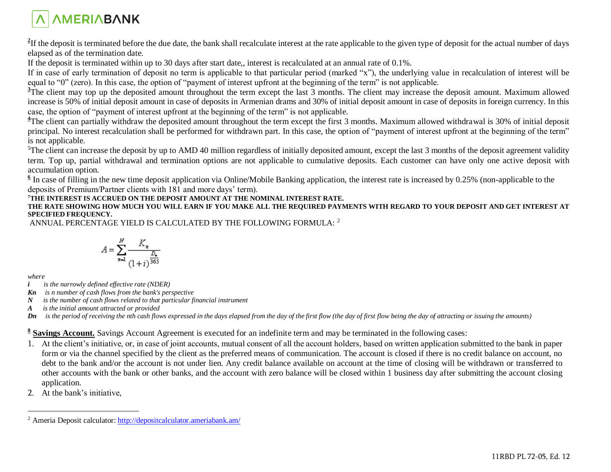

<sup>2</sup>If the deposit is terminated before the due date, the bank shall recalculate interest at the rate applicable to the given type of deposit for the actual number of days elapsed as of the termination date.

If the deposit is terminated within up to 30 days after start date,, interest is recalculated at an annual rate of 0.1%.

If in case of early termination of deposit no term is applicable to that particular period (marked "x"), the underlying value in recalculation of interest will be equal to "0" (zero). In this case, the option of "payment of interest upfront at the beginning of the term" is not applicable.

<sup>3</sup>The client may top up the deposited amount throughout the term except the last 3 months. The client may increase the deposit amount. Maximum allowed increase is 50% of initial deposit amount in case of deposits in Armenian drams and 30% of initial deposit amount in case of deposits in foreign currency. In this case, the option of "payment of interest upfront at the beginning of the term" is not applicable.

<sup>4</sup>The client can partially withdraw the deposited amount throughout the term except the first 3 months. Maximum allowed withdrawal is 30% of initial deposit principal. No interest recalculation shall be performed for withdrawn part. In this case, the option of "payment of interest upfront at the beginning of the term" is not applicable.

 ${}^{5}$ The client can increase the deposit by up to AMD 40 million regardless of initially deposited amount, except the last 3 months of the deposit agreement validity term. Top up, partial withdrawal and termination options are not applicable to cumulative deposits. Each customer can have only one active deposit with accumulation option.

 $\frac{6}{6}$  In case of filling in the new time deposit application via Online/Mobile Banking application, the interest rate is increased by 0.25% (non-applicable to the deposits of Premium/Partner clients with 181 and more days' term).

#### **<sup>7</sup>THE INTEREST IS ACCRUED ON THE DEPOSIT AMOUNT AT THE NOMINAL INTEREST RATE.**

**THE RATE SHOWING HOW MUCH YOU WILL EARN IF YOU MAKE ALL THE REQUIRED PAYMENTS WITH REGARD TO YOUR DEPOSIT AND GET INTEREST AT SPECIFIED FREQUENCY.**

ANNUAL PERCENTAGE YIELD IS CALCULATED BY THE FOLLOWING FORMULA: <sup>2</sup>

$$
A = \sum_{n=1}^{N} \frac{K_n}{\left(1+i\right)^{\frac{D_n}{365}}}
$$

*where*

 $\overline{a}$ 

- *i is the narrowly defined effective rate (NDER)*
- *Kn is n number of cash flows from the bank's perspective*
- *N is the number of cash flows related to that particular financial instrument*
- *A is the initial amount attracted or provided*

*Dn is the period of receiving the nth cash flows expressed in the days elapsed from the day of the first flow (the day of first flow being the day of attracting or issuing the amounts)*

**8 Savings Account.** Savings Account Agreement is executed for an indefinite term and may be terminated in the following cases:

- 1. At the client's initiative, or, in case of joint accounts, mutual consent of all the account holders, based on written application submitted to the bank in paper form or via the channel specified by the client as the preferred means of communication. The account is closed if there is no credit balance on account, no debt to the bank and/or the account is not under lien. Any credit balance available on account at the time of closing will be withdrawn or transferred to other accounts with the bank or other banks, and the account with zero balance will be closed within 1 business day after submitting the account closing application.
- 2. At the bank's initiative,

<sup>2</sup> Ameria Deposit calculator: <http://depositcalculator.ameriabank.am/>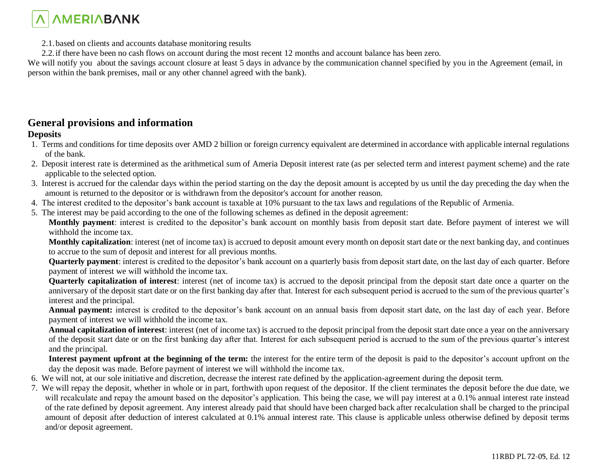

2.1.based on clients and accounts database monitoring results

2.2.if there have been no cash flows on account during the most recent 12 months and account balance has been zero.

We will notify you about the savings account closure at least 5 days in advance by the communication channel specified by you in the Agreement (email, in person within the bank premises, mail or any other channel agreed with the bank).

## **General provisions and information**

#### **Deposits**

- 1. Terms and conditions for time deposits over AMD 2 billion or foreign currency equivalent are determined in accordance with applicable internal regulations of the bank.
- 2. Deposit interest rate is determined as the arithmetical sum of Ameria Deposit interest rate (as per selected term and interest payment scheme) and the rate applicable to the selected option.
- 3. Interest is accrued for the calendar days within the period starting on the day the deposit amount is accepted by us until the day preceding the day when the amount is returned to the depositor or is withdrawn from the depositor's account for another reason.
- 4. The interest credited to the depositor's bank account is taxable at 10% pursuant to the tax laws and regulations of the Republic of Armenia.
- 5. The interest may be paid according to the one of the following schemes as defined in the deposit agreement:

**Monthly payment**: interest is credited to the depositor's bank account on monthly basis from deposit start date. Before payment of interest we will withhold the income tax.

**Monthly capitalization**: interest (net of income tax) is accrued to deposit amount every month on deposit start date or the next banking day, and continues to accrue to the sum of deposit and interest for all previous months.

**Quarterly payment**: interest is credited to the depositor's bank account on a quarterly basis from deposit start date, on the last day of each quarter. Before payment of interest we will withhold the income tax.

**Quarterly capitalization of interest**: interest (net of income tax) is accrued to the deposit principal from the deposit start date once a quarter on the anniversary of the deposit start date or on the first banking day after that. Interest for each subsequent period is accrued to the sum of the previous quarter's interest and the principal.

**Annual payment:** interest is credited to the depositor's bank account on an annual basis from deposit start date, on the last day of each year. Before payment of interest we will withhold the income tax.

**Annual capitalization of interest**: interest (net of income tax) is accrued to the deposit principal from the deposit start date once a year on the anniversary of the deposit start date or on the first banking day after that. Interest for each subsequent period is accrued to the sum of the previous quarter's interest and the principal.

**Interest payment upfront at the beginning of the term:** the interest for the entire term of the deposit is paid to the depositor's account upfront on the day the deposit was made. Before payment of interest we will withhold the income tax.

- 6. We will not, at our sole initiative and discretion, decrease the interest rate defined by the application-agreement during the deposit term.
- 7. We will repay the deposit, whether in whole or in part, forthwith upon request of the depositor. If the client terminates the deposit before the due date, we will recalculate and repay the amount based on the depositor's application. This being the case, we will pay interest at a 0.1% annual interest rate instead of the rate defined by deposit agreement. Any interest already paid that should have been charged back after recalculation shall be charged to the principal amount of deposit after deduction of interest calculated at 0.1% annual interest rate. This clause is applicable unless otherwise defined by deposit terms and/or deposit agreement.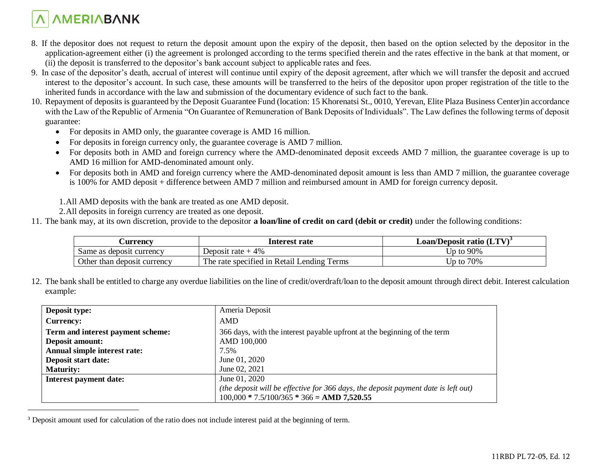# *AMERIABANK*

 $\overline{a}$ 

- 8. If the depositor does not request to return the deposit amount upon the expiry of the deposit, then based on the option selected by the depositor in the application-agreement either (i) the agreement is prolonged according to the terms specified therein and the rates effective in the bank at that moment, or (ii) the deposit is transferred to the depositor's bank account subject to applicable rates and fees.
- 9. In case of the depositor's death, accrual of interest will continue until expiry of the deposit agreement, after which we will transfer the deposit and accrued interest to the depositor's account. In such case, these amounts will be transferred to the heirs of the depositor upon proper registration of the title to the inherited funds in accordance with the law and submission of the documentary evidence of such fact to the bank.
- 10. Repayment of deposits is guaranteed by the Deposit Guarantee Fund (location: 15 Khorenatsi St., 0010, Yerevan, Elite Plaza Business Center)in accordance with the Law of the Republic of Armenia "On Guarantee of Remuneration of Bank Deposits of Individuals". The Law defines the following terms of deposit guarantee:
	- For deposits in AMD only, the guarantee coverage is AMD 16 million.
	- For deposits in foreign currency only, the guarantee coverage is AMD 7 million.
	- For deposits both in AMD and foreign currency where the AMD-denominated deposit exceeds AMD 7 million, the guarantee coverage is up to AMD 16 million for AMD-denominated amount only.
	- For deposits both in AMD and foreign currency where the AMD-denominated deposit amount is less than AMD 7 million, the guarantee coverage is 100% for AMD deposit + difference between AMD 7 million and reimbursed amount in AMD for foreign currency deposit.

1.All AMD deposits with the bank are treated as one AMD deposit.

- 2.All deposits in foreign currency are treated as one deposit.
- 11. The bank may, at its own discretion, provide to the depositor **a loan/line of credit on card (debit or credit)** under the following conditions:

| <b>Currency</b>             | Interest rate                              | Loan/Deposit ratio (LTV) <sup>3</sup> |
|-----------------------------|--------------------------------------------|---------------------------------------|
| Same as deposit currency    | Deposit rate $+4\%$                        | Up to $90\%$                          |
| Other than deposit currency | The rate specified in Retail Lending Terms | 70%<br>Up to                          |

12. The bank shall be entitled to charge any overdue liabilities on the line of credit/overdraft/loan to the deposit amount through direct debit. Interest calculation example:

| Deposit type:                     | Ameria Deposit                                                                     |
|-----------------------------------|------------------------------------------------------------------------------------|
| <b>Currency:</b>                  | <b>AMD</b>                                                                         |
| Term and interest payment scheme: | 366 days, with the interest payable upfront at the beginning of the term           |
| Deposit amount:                   | AMD 100,000                                                                        |
| Annual simple interest rate:      | 7.5%                                                                               |
| Deposit start date:               | June 01, 2020                                                                      |
| <b>Maturity:</b>                  | June 02, 2021                                                                      |
| <b>Interest payment date:</b>     | June 01, 2020                                                                      |
|                                   | (the deposit will be effective for 366 days, the deposit payment date is left out) |
|                                   | $100,000 * 7.5/100/365 * 366 =$ AMD 7,520.55                                       |

<sup>&</sup>lt;sup>3</sup> Deposit amount used for calculation of the ratio does not include interest paid at the beginning of term.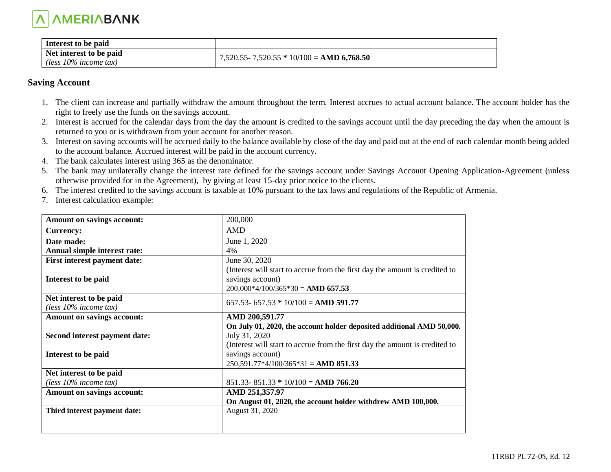

| Interest to be paid                                 |                                               |
|-----------------------------------------------------|-----------------------------------------------|
| Net interest to be paid<br>(less $10\%$ income tax) | $7,520.55 - 7,520.55 * 10/100 =$ AMD 6,768.50 |

#### **Saving Account**

- 1. The client can increase and partially withdraw the amount throughout the term. Interest accrues to actual account balance. The account holder has the right to freely use the funds on the savings account.
- 2. Interest is accrued for the calendar days from the day the amount is credited to the savings account until the day preceding the day when the amount is returned to you or is withdrawn from your account for another reason.
- 3. Interest on saving accounts will be accrued daily to the balance available by close of the day and paid out at the end of each calendar month being added to the account balance. Accrued interest will be paid in the account currency.
- 4. The bank calculates interest using 365 as the denominator.
- 5. The bank may unilaterally change the interest rate defined for the savings account under Savings Account Opening Application-Agreement (unless otherwise provided for in the Agreement), by giving at least 15-day prior notice to the clients.
- 6. The interest credited to the savings account is taxable at 10% pursuant to the tax laws and regulations of the Republic of Armenia.
- 7. Interest calculation example:

| Amount on savings account:          | 200,000                                                                     |
|-------------------------------------|-----------------------------------------------------------------------------|
| <b>Currency:</b>                    | AMD                                                                         |
| Date made:                          | June 1, 2020                                                                |
| Annual simple interest rate:        | 4%                                                                          |
| <b>First interest payment date:</b> | June 30, 2020                                                               |
|                                     | (Interest will start to accrue from the first day the amount is credited to |
| Interest to be paid                 | savings account)                                                            |
|                                     | $200,000*4/100/365*30 =$ AMD 657.53                                         |
| Net interest to be paid             | $657.53 - 657.53 * 10/100 =$ AMD 591.77                                     |
| (less $10\%$ income tax)            |                                                                             |
| Amount on savings account:          | AMD 200,591.77                                                              |
|                                     | On July 01, 2020, the account holder deposited additional AMD 50,000.       |
| Second interest payment date:       | July 31, 2020                                                               |
|                                     |                                                                             |
|                                     | (Interest will start to accrue from the first day the amount is credited to |
| Interest to be paid                 | savings account)                                                            |
|                                     | $250,591.77*4/100/365*31 =$ AMD 851.33                                      |
| Net interest to be paid             |                                                                             |
| (less $10\%$ income tax)            | $851.33 - 851.33 * 10/100 =$ AMD 766.20                                     |
| Amount on savings account:          | AMD 251,357.97                                                              |
|                                     | On August 01, 2020, the account holder withdrew AMD 100,000.                |
| Third interest payment date:        | August 31, 2020                                                             |
|                                     |                                                                             |